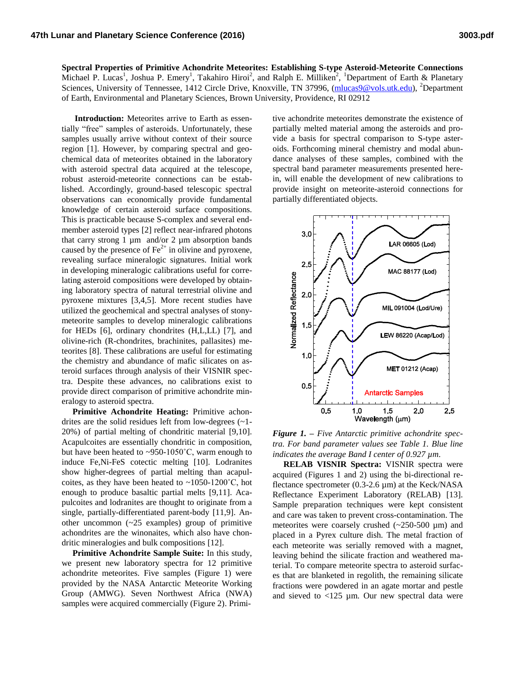**Spectral Properties of Primitive Achondrite Meteorites: Establishing S-type Asteroid-Meteorite Connections**  Michael P. Lucas<sup>1</sup>, Joshua P. Emery<sup>1</sup>, Takahiro Hiroi<sup>2</sup>, and Ralph E. Milliken<sup>2</sup>, <sup>1</sup>Department of Earth & Planetary Sciences, University of Tennessee, 1412 Circle Drive, Knoxville, TN 37996, [\(mlucas9@vols.utk.edu\)](mailto:mlucas9@vols.utk.edu), <sup>2</sup>Department of Earth, Environmental and Planetary Sciences, Brown University, Providence, RI 02912

 **Introduction:** Meteorites arrive to Earth as essentially "free" samples of asteroids. Unfortunately, these samples usually arrive without context of their source region [1]. However, by comparing spectral and geochemical data of meteorites obtained in the laboratory with asteroid spectral data acquired at the telescope, robust asteroid-meteorite connections can be established. Accordingly, ground-based telescopic spectral observations can economically provide fundamental knowledge of certain asteroid surface compositions. This is practicable because S-complex and several endmember asteroid types [2] reflect near-infrared photons that carry strong 1  $\mu$ m and/or 2  $\mu$ m absorption bands caused by the presence of  $Fe^{2+}$  in olivine and pyroxene, revealing surface mineralogic signatures. Initial work in developing mineralogic calibrations useful for correlating asteroid compositions were developed by obtaining laboratory spectra of natural terrestrial olivine and pyroxene mixtures [3,4,5]. More recent studies have utilized the geochemical and spectral analyses of stonymeteorite samples to develop mineralogic calibrations for HEDs [6], ordinary chondrites (H,L,LL) [7], and olivine-rich (R-chondrites, brachinites, pallasites) meteorites [8]. These calibrations are useful for estimating the chemistry and abundance of mafic silicates on asteroid surfaces through analysis of their VISNIR spectra. Despite these advances, no calibrations exist to provide direct comparison of primitive achondrite mineralogy to asteroid spectra.

 **Primitive Achondrite Heating:** Primitive achondrites are the solid residues left from low-degrees (~1- 20%) of partial melting of chondritic material [9,10]. Acapulcoites are essentially chondritic in composition, but have been heated to ~950-1050˚C, warm enough to induce Fe,Ni-FeS cotectic melting [10]. Lodranites show higher-degrees of partial melting than acapulcoites, as they have been heated to  $\sim$ 1050-1200<sup>°</sup>C, hot enough to produce basaltic partial melts [9,11]. Acapulcoites and lodranites are thought to originate from a single, partially-differentiated parent-body [11,9]. Another uncommon (~25 examples) group of primitive achondrites are the winonaites, which also have chondritic mineralogies and bulk compositions [12].

 **Primitive Achondrite Sample Suite:** In this study, we present new laboratory spectra for 12 primitive achondrite meteorites. Five samples (Figure 1) were provided by the NASA Antarctic Meteorite Working Group (AMWG). Seven Northwest Africa (NWA) samples were acquired commercially (Figure 2). Primi-

tive achondrite meteorites demonstrate the existence of partially melted material among the asteroids and provide a basis for spectral comparison to S-type asteroids. Forthcoming mineral chemistry and modal abundance analyses of these samples, combined with the spectral band parameter measurements presented herein, will enable the development of new calibrations to provide insight on meteorite-asteroid connections for partially differentiated objects.



*Figure 1. – Five Antarctic primitive achondrite spectra. For band parameter values see Table 1. Blue line indicates the average Band I center of 0.927 µm.*

 **RELAB VISNIR Spectra:** VISNIR spectra were acquired (Figures 1 and 2) using the bi-directional reflectance spectrometer (0.3-2.6 µm) at the Keck/NASA Reflectance Experiment Laboratory (RELAB) [13]. Sample preparation techniques were kept consistent and care was taken to prevent cross-contamination. The meteorites were coarsely crushed  $(\sim 250-500 \mu m)$  and placed in a Pyrex culture dish. The metal fraction of each meteorite was serially removed with a magnet, leaving behind the silicate fraction and weathered material. To compare meteorite spectra to asteroid surfaces that are blanketed in regolith, the remaining silicate fractions were powdered in an agate mortar and pestle and sieved to  $<$ 125 µm. Our new spectral data were